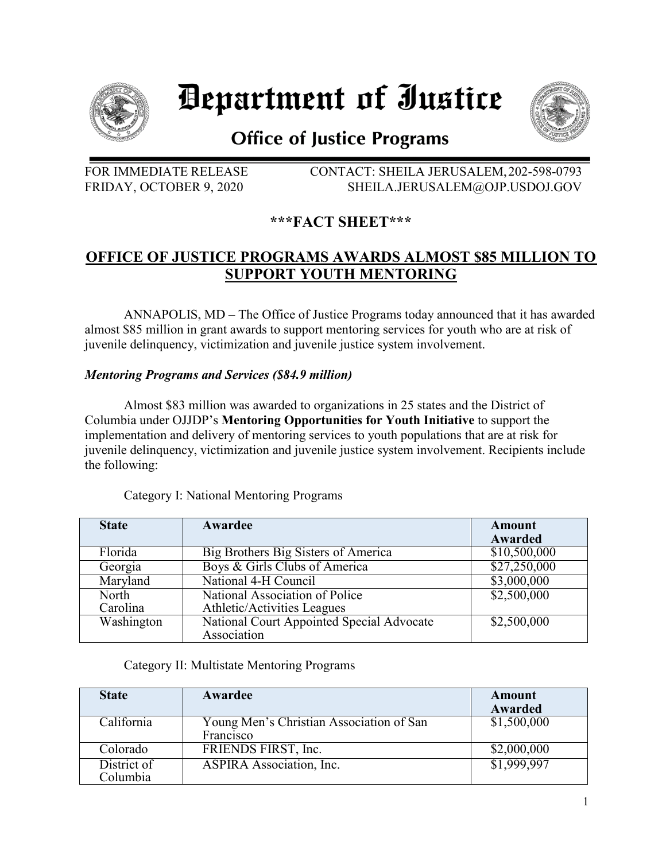

# Department of Iustice



## **Office of Justice Programs**

FOR IMMEDIATE RELEASE CONTACT: SHEILA JERUSALEM,202-598-0793 FRIDAY, OCTOBER 9, 2020 SHEILA.JERUSALEM@OJP.USDOJ.GOV

## **\*\*\*FACT SHEET\*\*\***

## **OFFICE OF JUSTICE PROGRAMS AWARDS ALMOST \$85 MILLION TO SUPPORT YOUTH MENTORING**

ANNAPOLIS, MD – The Office of Justice Programs today announced that it has awarded almost \$85 million in grant awards to support mentoring services for youth who are at risk of juvenile delinquency, victimization and juvenile justice system involvement.

### *Mentoring Programs and Services (\$84.9 million)*

Almost \$83 million was awarded to organizations in 25 states and the District of Columbia under OJJDP's **Mentoring Opportunities for Youth Initiative** to support the implementation and delivery of mentoring services to youth populations that are at risk for juvenile delinquency, victimization and juvenile justice system involvement. Recipients include the following:

| <b>State</b> | Awardee                                   | <b>Amount</b><br>Awarded |
|--------------|-------------------------------------------|--------------------------|
| Florida      | Big Brothers Big Sisters of America       | \$10,500,000             |
| Georgia      | Boys & Girls Clubs of America             | \$27,250,000             |
| Maryland     | National 4-H Council                      | \$3,000,000              |
| North        | National Association of Police            | \$2,500,000              |
| Carolina     | Athletic/Activities Leagues               |                          |
| Washington   | National Court Appointed Special Advocate | \$2,500,000              |
|              | Association                               |                          |

### Category I: National Mentoring Programs

#### Category II: Multistate Mentoring Programs

| <b>State</b>            | Awardee                                               | Amount<br>Awarded |
|-------------------------|-------------------------------------------------------|-------------------|
| California              | Young Men's Christian Association of San<br>Francisco | \$1,500,000       |
| Colorado                | FRIENDS FIRST, Inc.                                   | \$2,000,000       |
| District of<br>Columbia | ASPIRA Association, Inc.                              | \$1,999,997       |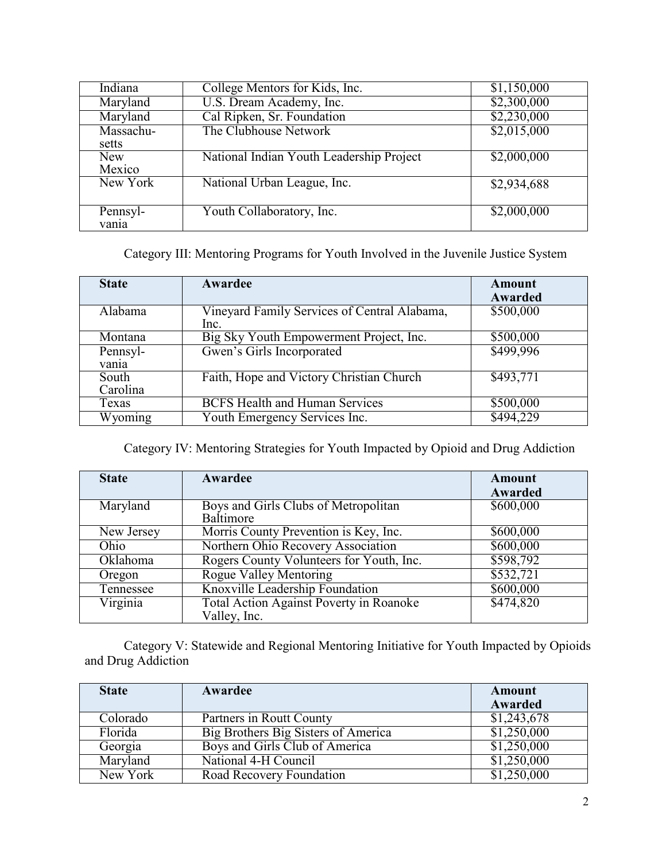| Indiana   | College Mentors for Kids, Inc.           | \$1,150,000 |
|-----------|------------------------------------------|-------------|
| Maryland  | U.S. Dream Academy, Inc.                 | \$2,300,000 |
| Maryland  | Cal Ripken, Sr. Foundation               | \$2,230,000 |
| Massachu- | The Clubhouse Network                    | \$2,015,000 |
| setts     |                                          |             |
| New       | National Indian Youth Leadership Project | \$2,000,000 |
| Mexico    |                                          |             |
| New York  | National Urban League, Inc.              | \$2,934,688 |
| Pennsyl-  | Youth Collaboratory, Inc.                | \$2,000,000 |
| vanıa     |                                          |             |

Category III: Mentoring Programs for Youth Involved in the Juvenile Justice System

| <b>State</b>      | Awardee                                              | Amount<br>Awarded |
|-------------------|------------------------------------------------------|-------------------|
| Alabama           | Vineyard Family Services of Central Alabama,<br>Inc. | \$500,000         |
| Montana           | Big Sky Youth Empowerment Project, Inc.              | \$500,000         |
| Pennsyl-<br>vania | Gwen's Girls Incorporated                            | \$499,996         |
| South<br>Carolina | Faith, Hope and Victory Christian Church             | \$493,771         |
| Texas             | <b>BCFS Health and Human Services</b>                | \$500,000         |
| Wyoming           | Youth Emergency Services Inc.                        | \$494,229         |

Category IV: Mentoring Strategies for Youth Impacted by Opioid and Drug Addiction

| <b>State</b> | Awardee                                                 | <b>Amount</b><br>Awarded |
|--------------|---------------------------------------------------------|--------------------------|
| Maryland     | Boys and Girls Clubs of Metropolitan<br>Baltimore       | \$600,000                |
| New Jersey   | Morris County Prevention is Key, Inc.                   | \$600,000                |
| Ohio         | Northern Ohio Recovery Association                      | \$600,000                |
| Oklahoma     | Rogers County Volunteers for Youth, Inc.                | \$598,792                |
| Oregon       | <b>Rogue Valley Mentoring</b>                           | \$532,721                |
| Tennessee    | Knoxville Leadership Foundation                         | \$600,000                |
| Virginia     | Total Action Against Poverty in Roanoke<br>Valley, Inc. | \$474,820                |

Category V: Statewide and Regional Mentoring Initiative for Youth Impacted by Opioids and Drug Addiction

| <b>State</b> | Awardee                             | Amount      |
|--------------|-------------------------------------|-------------|
|              |                                     | Awarded     |
| Colorado     | Partners in Routt County            | \$1,243,678 |
| Florida      | Big Brothers Big Sisters of America | \$1,250,000 |
| Georgia      | Boys and Girls Club of America      | \$1,250,000 |
| Maryland     | National 4-H Council                | \$1,250,000 |
| New York     | Road Recovery Foundation            | \$1,250,000 |